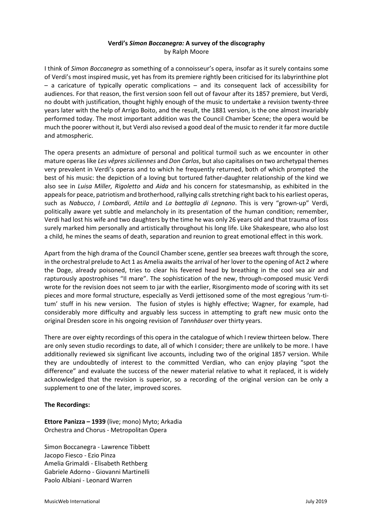## **Verdi's** *Simon Boccanegra:* **A survey of the discography** by Ralph Moore

I think of *Simon Boccanegra* as something of a connoisseur's opera, insofar as it surely contains some of Verdi's most inspired music, yet has from its premiere rightly been criticised for its labyrinthine plot – a caricature of typically operatic complications – and its consequent lack of accessibility for audiences. For that reason, the first version soon fell out of favour after its 1857 premiere, but Verdi, no doubt with justification, thought highly enough of the music to undertake a revision twenty-three years later with the help of Arrigo Boito, and the result, the 1881 version, is the one almost invariably performed today. The most important addition was the Council Chamber Scene; the opera would be much the poorer without it, but Verdi also revised a good deal of the music to render it far more ductile and atmospheric.

The opera presents an admixture of personal and political turmoil such as we encounter in other mature operas like *Les vêpres siciliennes* and *Don Carlos*, but also capitalises on two archetypal themes very prevalent in Verdi's operas and to which he frequently returned, both of which prompted the best of his music: the depiction of a loving but tortured father-daughter relationship of the kind we also see in *Luisa Miller, Rigoletto* and *Aida* and his concern for statesmanship, as exhibited in the appeals for peace, patriotism and brotherhood, rallying calls stretching right back to his earliest operas, such as *Nabucco*, *I Lombardi*, *Attila* and *La battaglia di Legnano*. This is very "grown-up" Verdi, politically aware yet subtle and melancholy in its presentation of the human condition; remember, Verdi had lost his wife and two daughters by the time he was only 26 years old and that trauma of loss surely marked him personally and artistically throughout his long life. Like Shakespeare, who also lost a child, he mines the seams of death, separation and reunion to great emotional effect in this work.

Apart from the high drama of the Council Chamber scene, gentler sea breezes waft through the score, in the orchestral prelude to Act 1 as Amelia awaits the arrival of her lover to the opening of Act 2 where the Doge, already poisoned, tries to clear his fevered head by breathing in the cool sea air and rapturously apostrophises "Il mare". The sophistication of the new, through-composed music Verdi wrote for the revision does not seem to jar with the earlier, Risorgimento mode of scoring with its set pieces and more formal structure, especially as Verdi jettisoned some of the most egregious 'rum-titum' stuff in his new version. The fusion of styles is highly effective; Wagner, for example, had considerably more difficulty and arguably less success in attempting to graft new music onto the original Dresden score in his ongoing revision of *Tannhäuser* over thirty years.

There are over eighty recordings of this opera in the catalogue of which I review thirteen below. There are only seven studio recordings to date, all of which I consider; there are unlikely to be more. I have additionally reviewed six significant live accounts, including two of the original 1857 version. While they are undoubtedly of interest to the committed Verdian, who can enjoy playing "spot the difference" and evaluate the success of the newer material relative to what it replaced, it is widely acknowledged that the revision is superior, so a recording of the original version can be only a supplement to one of the later, improved scores.

## **The Recordings:**

**Ettore Panizza – 1939** (live; mono) Myto; Arkadia Orchestra and Chorus - Metropolitan Opera

Simon Boccanegra - Lawrence Tibbett Jacopo Fiesco - Ezio Pinza Amelia Grimaldi - Elisabeth Rethberg Gabriele Adorno - Giovanni Martinelli Paolo Albiani - Leonard Warren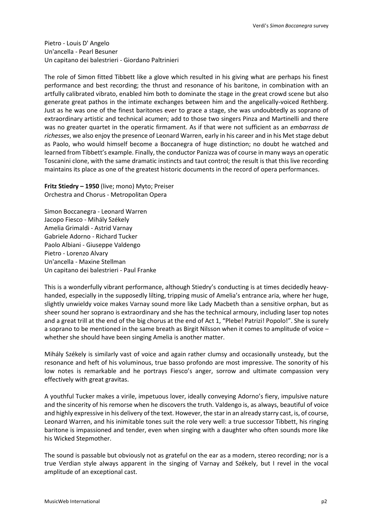Pietro - Louis D' Angelo Un'ancella - Pearl Besuner Un capitano dei balestrieri - Giordano Paltrinieri

The role of Simon fitted Tibbett like a glove which resulted in his giving what are perhaps his finest performance and best recording; the thrust and resonance of his baritone, in combination with an artfully calibrated vibrato, enabled him both to dominate the stage in the great crowd scene but also generate great pathos in the intimate exchanges between him and the angelically-voiced Rethberg. Just as he was one of the finest baritones ever to grace a stage, she was undoubtedly as soprano of extraordinary artistic and technical acumen; add to those two singers Pinza and Martinelli and there was no greater quartet in the operatic firmament. As if that were not sufficient as an *embarrass de richesses*, we also enjoy the presence of Leonard Warren, early in his career and in his Met stage debut as Paolo, who would himself become a Boccanegra of huge distinction; no doubt he watched and learned from Tibbett's example. Finally, the conductor Panizza was of course in many ways an operatic Toscanini clone, with the same dramatic instincts and taut control; the result is that this live recording maintains its place as one of the greatest historic documents in the record of opera performances.

**Fritz Stiedry – 1950** (live; mono) Myto; Preiser Orchestra and Chorus - Metropolitan Opera

Simon Boccanegra - Leonard Warren Jacopo Fiesco - Mihály Székely Amelia Grimaldi - Astrid Varnay Gabriele Adorno - Richard Tucker Paolo Albiani - Giuseppe Valdengo Pietro - Lorenzo Alvary Un'ancella - Maxine Stellman Un capitano dei balestrieri - Paul Franke

This is a wonderfully vibrant performance, although Stiedry's conducting is at times decidedly heavyhanded, especially in the supposedly lilting, tripping music of Amelia's entrance aria, where her huge, slightly unwieldy voice makes Varnay sound more like Lady Macbeth than a sensitive orphan, but as sheer sound her soprano is extraordinary and she has the technical armoury, including laser top notes and a great trill at the end of the big chorus at the end of Act 1, "Plebe! Patrizi! Popolo!". She is surely a soprano to be mentioned in the same breath as Birgit Nilsson when it comes to amplitude of voice – whether she should have been singing Amelia is another matter.

Mihály Székely is similarly vast of voice and again rather clumsy and occasionally unsteady, but the resonance and heft of his voluminous, true basso profondo are most impressive. The sonority of his low notes is remarkable and he portrays Fiesco's anger, sorrow and ultimate compassion very effectively with great gravitas.

A youthful Tucker makes a virile, impetuous lover, ideally conveying Adorno's fiery, impulsive nature and the sincerity of his remorse when he discovers the truth. Valdengo is, as always, beautiful of voice and highly expressive in his delivery of the text. However, the star in an already starry cast, is, of course, Leonard Warren, and his inimitable tones suit the role very well: a true successor Tibbett, his ringing baritone is impassioned and tender, even when singing with a daughter who often sounds more like his Wicked Stepmother.

The sound is passable but obviously not as grateful on the ear as a modern, stereo recording; nor is a true Verdian style always apparent in the singing of Varnay and Székely, but I revel in the vocal amplitude of an exceptional cast.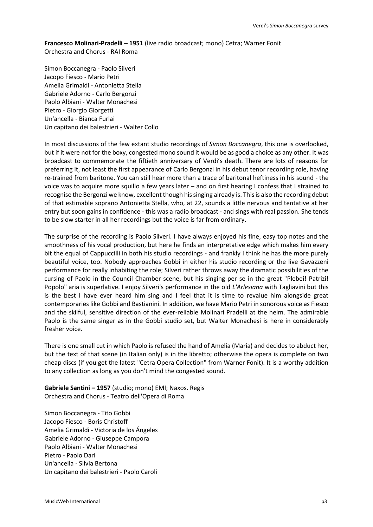**Francesco Molinari-Pradelli – 1951** (live radio broadcast; mono) Cetra; Warner Fonit Orchestra and Chorus - RAI Roma

Simon Boccanegra - Paolo Silveri Jacopo Fiesco - Mario Petri Amelia Grimaldi - Antonietta Stella Gabriele Adorno - Carlo Bergonzi Paolo Albiani - Walter Monachesi Pietro - Giorgio Giorgetti Un'ancella - Bianca Furlai Un capitano dei balestrieri - Walter Collo

In most discussions of the few extant studio recordings of *Simon Boccanegra*, this one is overlooked, but if it were not for the boxy, congested mono sound it would be as good a choice as any other. It was broadcast to commemorate the fiftieth anniversary of Verdi's death. There are lots of reasons for preferring it, not least the first appearance of Carlo Bergonzi in his debut tenor recording role, having re-trained from baritone. You can still hear more than a trace of baritonal heftiness in his sound - the voice was to acquire more squillo a few years later – and on first hearing I confess that I strained to recognise the Bergonzi we know, excellent though his singing already is. This is also the recording debut of that estimable soprano Antonietta Stella, who, at 22, sounds a little nervous and tentative at her entry but soon gains in confidence - this was a radio broadcast - and sings with real passion. She tends to be slow starter in all her recordings but the voice is far from ordinary.

The surprise of the recording is Paolo Silveri. I have always enjoyed his fine, easy top notes and the smoothness of his vocal production, but here he finds an interpretative edge which makes him every bit the equal of Cappuccilli in both his studio recordings - and frankly I think he has the more purely beautiful voice, too. Nobody approaches Gobbi in either his studio recording or the live Gavazzeni performance for really inhabiting the role; Silveri rather throws away the dramatic possibilities of the cursing of Paolo in the Council Chamber scene, but his singing per se in the great "Plebei! Patrizi! Popolo" aria is superlative. I enjoy Silveri's performance in the old *L'Arlesiana* with Tagliavini but this is the best I have ever heard him sing and I feel that it is time to revalue him alongside great contemporaries like Gobbi and Bastianini. In addition, we have Mario Petri in sonorous voice as Fiesco and the skilful, sensitive direction of the ever-reliable Molinari Pradelli at the helm. The admirable Paolo is the same singer as in the Gobbi studio set, but Walter Monachesi is here in considerably fresher voice.

There is one small cut in which Paolo is refused the hand of Amelia (Maria) and decides to abduct her, but the text of that scene (in Italian only) is in the libretto; otherwise the opera is complete on two cheap discs (if you get the latest "Cetra Opera Collection" from Warner Fonit). It is a worthy addition to any collection as long as you don't mind the congested sound.

**Gabriele Santini – 1957** (studio; mono) EMI; Naxos. Regis Orchestra and Chorus - Teatro dell'Opera di Roma

Simon Boccanegra - Tito Gobbi Jacopo Fiesco - Boris Christoff Amelia Grimaldi - Victoria de los Ángeles Gabriele Adorno - Giuseppe Campora Paolo Albiani - Walter Monachesi Pietro - Paolo Dari Un'ancella - Silvia Bertona Un capitano dei balestrieri - Paolo Caroli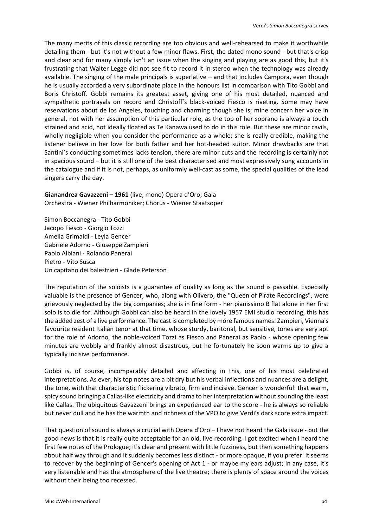The many merits of this classic recording are too obvious and well-rehearsed to make it worthwhile detailing them - but it's not without a few minor flaws. First, the dated mono sound - but that's crisp and clear and for many simply isn't an issue when the singing and playing are as good this, but it's frustrating that Walter Legge did not see fit to record it in stereo when the technology was already available. The singing of the male principals is superlative – and that includes Campora, even though he is usually accorded a very subordinate place in the honours list in comparison with Tito Gobbi and Boris Christoff. Gobbi remains its greatest asset, giving one of his most detailed, nuanced and sympathetic portrayals on record and Christoff's black-voiced Fiesco is riveting. Some may have reservations about de los Angeles, touching and charming though she is; mine concern her voice in general, not with her assumption of this particular role, as the top of her soprano is always a touch strained and acid, not ideally floated as Te Kanawa used to do in this role. But these are minor cavils, wholly negligible when you consider the performance as a whole; she is really credible, making the listener believe in her love for both father and her hot-headed suitor. Minor drawbacks are that Santini's conducting sometimes lacks tension, there are minor cuts and the recording is certainly not in spacious sound – but it is still one of the best characterised and most expressively sung accounts in the catalogue and if it is not, perhaps, as uniformly well-cast as some, the special qualities of the lead singers carry the day.

**Gianandrea Gavazzeni – 1961** (live; mono) Opera d'Oro; Gala Orchestra - Wiener Philharmoniker; Chorus - Wiener Staatsoper

Simon Boccanegra - Tito Gobbi Jacopo Fiesco - Giorgio Tozzi Amelia Grimaldi - Leyla Gencer Gabriele Adorno - Giuseppe Zampieri Paolo Albiani - Rolando Panerai Pietro - Vito Susca Un capitano dei balestrieri - Glade Peterson

The reputation of the soloists is a guarantee of quality as long as the sound is passable. Especially valuable is the presence of Gencer, who, along with Olivero, the "Queen of Pirate Recordings", were grievously neglected by the big companies; she is in fine form - her pianissimo B flat alone in her first solo is to die for. Although Gobbi can also be heard in the lovely 1957 EMI studio recording, this has the added zest of a live performance. The cast is completed by more famous names: Zampieri, Vienna's favourite resident Italian tenor at that time, whose sturdy, baritonal, but sensitive, tones are very apt for the role of Adorno, the noble-voiced Tozzi as Fiesco and Panerai as Paolo - whose opening few minutes are wobbly and frankly almost disastrous, but he fortunately he soon warms up to give a typically incisive performance.

Gobbi is, of course, incomparably detailed and affecting in this, one of his most celebrated interpretations. As ever, his top notes are a bit dry but his verbal inflections and nuances are a delight, the tone, with that characteristic flickering vibrato, firm and incisive. Gencer is wonderful: that warm, spicy sound bringing a Callas-like electricity and drama to her interpretation without sounding the least like Callas. The ubiquitous Gavazzeni brings an experienced ear to the score - he is always so reliable but never dull and he has the warmth and richness of the VPO to give Verdi's dark score extra impact.

That question of sound is always a crucial with Opera d'Oro – I have not heard the Gala issue - but the good news is that it is really quite acceptable for an old, live recording. I got excited when I heard the first few notes of the Prologue; it's clear and present with little fuzziness, but then something happens about half way through and it suddenly becomes less distinct - or more opaque, if you prefer. It seems to recover by the beginning of Gencer's opening of Act 1 - or maybe my ears adjust; in any case, it's very listenable and has the atmosphere of the live theatre; there is plenty of space around the voices without their being too recessed.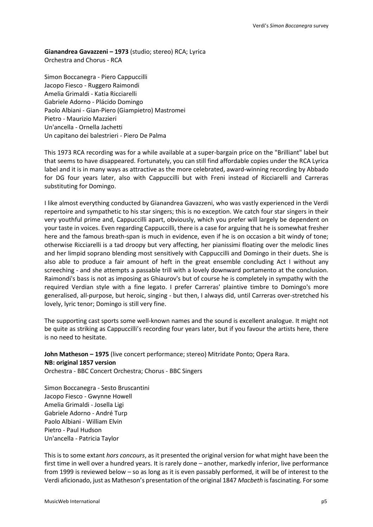**Gianandrea Gavazzeni – 1973** (studio; stereo) RCA; Lyrica Orchestra and Chorus - RCA

Simon Boccanegra - Piero Cappuccilli Jacopo Fiesco - Ruggero Raimondi Amelia Grimaldi - Katia Ricciarelli Gabriele Adorno - Plácido Domingo Paolo Albiani - Gian-Piero (Giampietro) Mastromei Pietro - Maurizio Mazzieri Un'ancella - Ornella Jachetti Un capitano dei balestrieri - Piero De Palma

This 1973 RCA recording was for a while available at a super-bargain price on the "Brilliant" label but that seems to have disappeared. Fortunately, you can still find affordable copies under the RCA Lyrica label and it is in many ways as attractive as the more celebrated, award-winning recording by Abbado for DG four years later, also with Cappuccilli but with Freni instead of Ricciarelli and Carreras substituting for Domingo.

I like almost everything conducted by Gianandrea Gavazzeni, who was vastly experienced in the Verdi repertoire and sympathetic to his star singers; this is no exception. We catch four star singers in their very youthful prime and, Cappuccilli apart, obviously, which you prefer will largely be dependent on your taste in voices. Even regarding Cappuccilli, there is a case for arguing that he is somewhat fresher here and the famous breath-span is much in evidence, even if he is on occasion a bit windy of tone; otherwise Ricciarelli is a tad droopy but very affecting, her pianissimi floating over the melodic lines and her limpid soprano blending most sensitively with Cappuccilli and Domingo in their duets. She is also able to produce a fair amount of heft in the great ensemble concluding Act I without any screeching - and she attempts a passable trill with a lovely downward portamento at the conclusion. Raimondi's bass is not as imposing as Ghiaurov's but of course he is completely in sympathy with the required Verdian style with a fine legato. I prefer Carreras' plaintive timbre to Domingo's more generalised, all-purpose, but heroic, singing - but then, I always did, until Carreras over-stretched his lovely, lyric tenor; Domingo is still very fine.

The supporting cast sports some well-known names and the sound is excellent analogue. It might not be quite as striking as Cappuccilli's recording four years later, but if you favour the artists here, there is no need to hesitate.

**John Matheson – 1975** (live concert performance; stereo) Mitridate Ponto; Opera Rara. **NB: original 1857 version** Orchestra - BBC Concert Orchestra; Chorus - BBC Singers

Simon Boccanegra - Sesto Bruscantini Jacopo Fiesco - Gwynne Howell Amelia Grimaldi - Josella Ligi Gabriele Adorno - André Turp Paolo Albiani - William Elvin Pietro - Paul Hudson Un'ancella - Patricia Taylor

This is to some extant *hors concours*, as it presented the original version for what might have been the first time in well over a hundred years. It is rarely done – another, markedly inferior, live performance from 1999 is reviewed below – so as long as it is even passably performed, it will be of interest to the Verdi aficionado, just as Matheson's presentation of the original 1847 *Macbeth* is fascinating. For some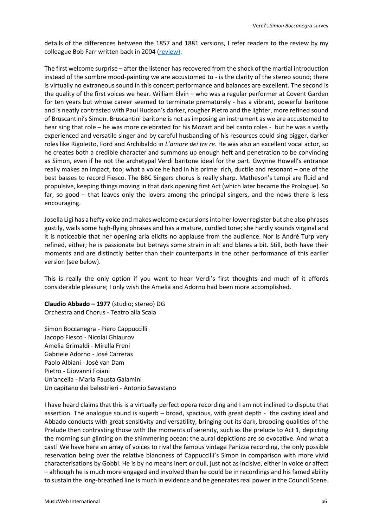details of the differences between the 1857 and 1881 versions, I refer readers to the review by my colleague Bob Farr written back in 2004 [\(review\)](http://www.musicweb-international.com/classrev/2004/Mar04/verdi_simon.htm).

The first welcome surprise – after the listener has recovered from the shock of the martial introduction instead of the sombre mood-painting we are accustomed to - is the clarity of the stereo sound; there is virtually no extraneous sound in this concert performance and balances are excellent. The second is the quality of the first voices we hear. William Elvin – who was a regular performer at Covent Garden for ten years but whose career seemed to terminate prematurely - has a vibrant, powerful baritone and is neatly contrasted with Paul Hudson's darker, rougher Pietro and the lighter, more refined sound of Bruscantini's Simon. Bruscantini baritone is not as imposing an instrument as we are accustomed to hear sing that role – he was more celebrated for his Mozart and bel canto roles - but he was a vastly experienced and versatile singer and by careful husbanding of his resources could sing bigger, darker roles like Rigoletto, Ford and Archibaldo in *L'amore dei tre re*. He was also an excellent vocal actor, so he creates both a credible character and summons up enough heft and penetration to be convincing as Simon, even if he not the archetypal Verdi baritone ideal for the part. Gwynne Howell's entrance really makes an impact, too; what a voice he had in his prime: rich, ductile and resonant – one of the best basses to record Fiesco. The BBC Singers chorus is really sharp. Matheson's tempi are fluid and propulsive, keeping things moving in that dark opening first Act (which later became the Prologue). So far, so good – that leaves only the lovers among the principal singers, and the news there is less encouraging.

Josella Ligi has a hefty voice and makes welcome excursions into her lower register but she also phrases gustily, wails some high-flying phrases and has a mature, curdled tone; she hardly sounds virginal and it is noticeable that her opening aria elicits no applause from the audience. Nor is André Turp very refined, either; he is passionate but betrays some strain in alt and blares a bit. Still, both have their moments and are distinctly better than their counterparts in the other performance of this earlier version (see below).

This is really the only option if you want to hear Verdi's first thoughts and much of it affords considerable pleasure; I only wish the Amelia and Adorno had been more accomplished.

**Claudio Abbado – 1977** (studio; stereo) DG Orchestra and Chorus - Teatro alla Scala

Simon Boccanegra - Piero Cappuccilli Jacopo Fiesco - Nicolai Ghiaurov Amelia Grimaldi - Mirella Freni Gabriele Adorno - José Carreras Paolo Albiani - José van Dam Pietro - Giovanni Foiani Un'ancella - Maria Fausta Galamini Un capitano dei balestrieri - Antonio Savastano

I have heard claims that this is a virtually perfect opera recording and I am not inclined to dispute that assertion. The analogue sound is superb – broad, spacious, with great depth - the casting ideal and Abbado conducts with great sensitivity and versatility, bringing out its dark, brooding qualities of the Prelude then contrasting those with the moments of serenity, such as the prelude to Act 1, depicting the morning sun glinting on the shimmering ocean: the aural depictions are so evocative. And what a cast! We have here an array of voices to rival the famous vintage Panizza recording, the only possible reservation being over the relative blandness of Cappuccilli's Simon in comparison with more vivid characterisations by Gobbi. He is by no means inert or dull, just not as incisive, either in voice or affect – although he is much more engaged and involved than he could be in recordings and his famed ability to sustain the long-breathed line is much in evidence and he generates real power in the Council Scene.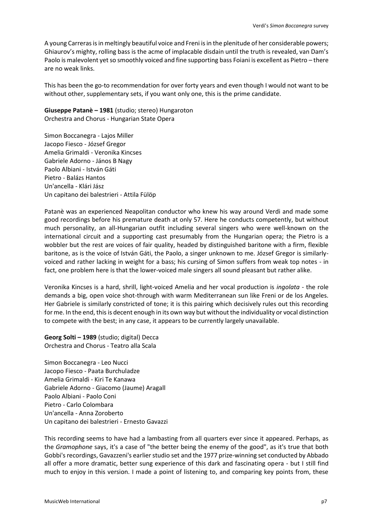A young Carreras is in meltingly beautiful voice and Freni is in the plenitude of her considerable powers; Ghiaurov's mighty, rolling bass is the acme of implacable disdain until the truth is revealed, van Dam's Paolo is malevolent yet so smoothly voiced and fine supporting bass Foiani is excellent as Pietro – there are no weak links.

This has been the go-to recommendation for over forty years and even though I would not want to be without other, supplementary sets, if you want only one, this is the prime candidate.

**Giuseppe Patanè – 1981** (studio; stereo) Hungaroton Orchestra and Chorus - Hungarian State Opera

Simon Boccanegra - Lajos Miller Jacopo Fiesco - József Gregor Amelia Grimaldi - Veronika Kincses Gabriele Adorno - János B Nagy Paolo Albiani - István Gáti Pietro - Balázs Hantos Un'ancella - Klári Jász Un capitano dei balestrieri - Attila Fülöp

Patanè was an experienced Neapolitan conductor who knew his way around Verdi and made some good recordings before his premature death at only 57. Here he conducts competently, but without much personality, an all-Hungarian outfit including several singers who were well-known on the international circuit and a supporting cast presumably from the Hungarian opera; the Pietro is a wobbler but the rest are voices of fair quality, headed by distinguished baritone with a firm, flexible baritone, as is the voice of István Gáti, the Paolo, a singer unknown to me. József Gregor is similarlyvoiced and rather lacking in weight for a bass; his cursing of Simon suffers from weak top notes - in fact, one problem here is that the lower-voiced male singers all sound pleasant but rather alike.

Veronika Kincses is a hard, shrill, light-voiced Amelia and her vocal production is *ingolata* - the role demands a big, open voice shot-through with warm Mediterranean sun like Freni or de los Angeles. Her Gabriele is similarly constricted of tone; it is this pairing which decisively rules out this recording for me. In the end, this is decent enough in its own way but without the individuality or vocal distinction to compete with the best; in any case, it appears to be currently largely unavailable.

**Georg Solti – 1989** (studio; digital) Decca Orchestra and Chorus - Teatro alla Scala

Simon Boccanegra - Leo Nucci Jacopo Fiesco - Paata Burchuladze Amelia Grimaldi - Kiri Te Kanawa Gabriele Adorno - Giacomo (Jaume) Aragall Paolo Albiani - Paolo Coni Pietro - Carlo Colombara Un'ancella - Anna Zoroberto Un capitano dei balestrieri - Ernesto Gavazzi

This recording seems to have had a lambasting from all quarters ever since it appeared. Perhaps, as the *Gramophone* says, it's a case of "the better being the enemy of the good", as it's true that both Gobbi's recordings, Gavazzeni's earlier studio set and the 1977 prize-winning set conducted by Abbado all offer a more dramatic, better sung experience of this dark and fascinating opera - but I still find much to enjoy in this version. I made a point of listening to, and comparing key points from, these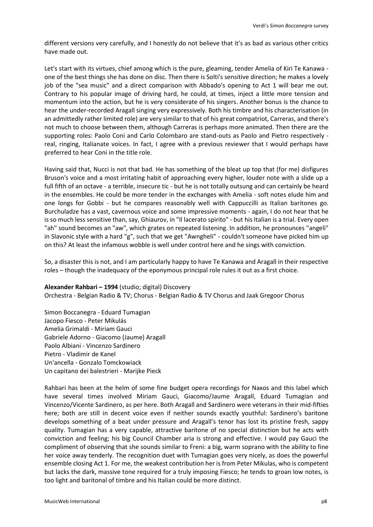different versions very carefully, and I honestly do not believe that it's as bad as various other critics have made out.

Let's start with its virtues, chief among which is the pure, gleaming, tender Amelia of Kiri Te Kanawa one of the best things she has done on disc. Then there is Solti's sensitive direction; he makes a lovely job of the "sea music" and a direct comparison with Abbado's opening to Act 1 will bear me out. Contrary to his popular image of driving hard, he could, at times, inject a little more tension and momentum into the action, but he is very considerate of his singers. Another bonus is the chance to hear the under-recorded Aragall singing very expressively. Both his timbre and his characterisation (in an admittedly rather limited role) are very similar to that of his great compatriot, Carreras, and there's not much to choose between them, although Carreras is perhaps more animated. Then there are the supporting roles: Paolo Coni and Carlo Colombaro are stand-outs as Paolo and Pietro respectively real, ringing, Italianate voices. In fact, I agree with a previous reviewer that I would perhaps have preferred to hear Coni in the title role.

Having said that, Nucci is not that bad. He has something of the bleat up top that (for me) disfigures Bruson's voice and a most irritating habit of approaching every higher, louder note with a slide up a full fifth of an octave - a terrible, insecure tic - but he is not totally outsung and can certainly be heard in the ensembles. He could be more tender in the exchanges with Amelia - soft notes elude him and one longs for Gobbi - but he compares reasonably well with Cappuccilli as Italian baritones go. Burchuladze has a vast, cavernous voice and some impressive moments - again, I do not hear that he is so much less sensitive than, say, Ghiaurov, in "Il lacerato spirito" - but his Italian is a trial. Every open "ah" sound becomes an "aw", which grates on repeated listening. In addition, he pronounces "angeli" in Slavonic style with a hard "g", such that we get "Awngheli" - couldn't someone have picked him up on this? At least the infamous wobble is well under control here and he sings with conviction.

So, a disaster this is not, and I am particularly happy to have Te Kanawa and Aragall in their respective roles – though the inadequacy of the eponymous principal role rules it out as a first choice.

## **Alexander Rahbari – 1994** (studio; digital) Discovery

Orchestra - Belgian Radio & TV; Chorus - Belgian Radio & TV Chorus and Jaak Gregoor Chorus

Simon Boccanegra - Eduard Tumagian Jacopo Fiesco - Peter Mikulás Amelia Grimaldi - Miriam Gauci Gabriele Adorno - Giacomo (Jaume) Aragall Paolo Albiani - Vincenzo Sardinero Pietro - Vladimir de Kanel Un'ancella - Gonzalo Tomckowiack Un capitano dei balestrieri - Marijke Pieck

Rahbari has been at the helm of some fine budget opera recordings for Naxos and this label which have several times involved Miriam Gauci, Giacomo/Jaume Aragall, Eduard Tumagian and Vincenzo/Vicente Sardinero, as per here. Both Aragall and Sardinero were veterans in their mid-fifties here; both are still in decent voice even if neither sounds exactly youthful: Sardinero's baritone develops something of a beat under pressure and Aragall's tenor has lost its pristine fresh, sappy quality. Tumagian has a very capable, attractive baritone of no special distinction but he acts with conviction and feeling; his big Council Chamber aria is strong and effective. I would pay Gauci the compliment of observing that she sounds similar to Freni: a big, warm soprano with the ability to fine her voice away tenderly. The recognition duet with Tumagian goes very nicely, as does the powerful ensemble closing Act 1. For me, the weakest contribution her is from Peter Mikulas, who is competent but lacks the dark, massive tone required for a truly imposing Fiesco; he tends to groan low notes, is too light and baritonal of timbre and his Italian could be more distinct.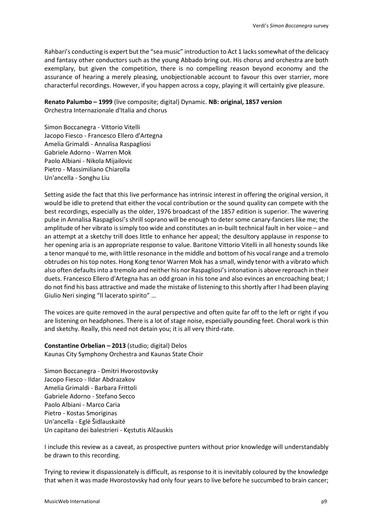Rahbari's conducting is expert but the "sea music" introduction to Act 1 lacks somewhat of the delicacy and fantasy other conductors such as the young Abbado bring out. His chorus and orchestra are both exemplary, but given the competition, there is no compelling reason beyond economy and the assurance of hearing a merely pleasing, unobjectionable account to favour this over starrier, more characterful recordings. However, if you happen across a copy, playing it will certainly give pleasure.

**Renato Palumbo – 1999** (live composite; digital) Dynamic. **NB: original, 1857 version** Orchestra Internazionale d'Italia and chorus

Simon Boccanegra - Vittorio Vitelli Jacopo Fiesco - Francesco Ellero d'Artegna Amelia Grimaldi - Annalisa Raspagliosi Gabriele Adorno - Warren Mok Paolo Albiani - Nikola Mijailovic Pietro - Massimiliano Chiarolla Un'ancella - Songhu Liu

Setting aside the fact that this live performance has intrinsic interest in offering the original version, it would be idle to pretend that either the vocal contribution or the sound quality can compete with the best recordings, especially as the older, 1976 broadcast of the 1857 edition is superior. The wavering pulse in Annalisa Raspagliosi's shrill soprano will be enough to deter some canary-fanciers like me; the amplitude of her vibrato is simply too wide and constitutes an in-built technical fault in her voice – and an attempt at a sketchy trill does little to enhance her appeal; the desultory applause in response to her opening aria is an appropriate response to value. Baritone Vittorio Vitelli in all honesty sounds like a tenor manqué to me, with little resonance in the middle and bottom of his vocal range and a tremolo obtrudes on his top notes. Hong Kong tenor Warren Mok has a small, windy tenor with a vibrato which also often defaults into a tremolo and neither his nor Raspagliosi's intonation is above reproach in their duets. Francesco Ellero d'Artegna has an odd groan in his tone and also evinces an encroaching beat; I do not find his bass attractive and made the mistake of listening to this shortly after I had been playing Giulio Neri singing "Il lacerato spirito" …

The voices are quite removed in the aural perspective and often quite far off to the left or right if you are listening on headphones. There is a lot of stage noise, especially pounding feet. Choral work is thin and sketchy. Really, this need not detain you; it is all very third-rate.

**Constantine Orbelian – 2013** (studio; digital) Delos Kaunas City Symphony Orchestra and Kaunas State Choir

Simon Boccanegra - Dmitri Hvorostovsky Jacopo Fiesco - Ildar Abdrazakov Amelia Grimaldi - Barbara Frittoli Gabriele Adorno - Stefano Secco Paolo Albiani - Marco Caria Pietro - Kostas Smoriginas Un'ancella - Eglė Šidlauskaité Un capitano dei balestrieri - Kęstutis Alčauskis

I include this review as a caveat, as prospective punters without prior knowledge will understandably be drawn to this recording.

Trying to review it dispassionately is difficult, as response to it is inevitably coloured by the knowledge that when it was made Hvorostovsky had only four years to live before he succumbed to brain cancer;